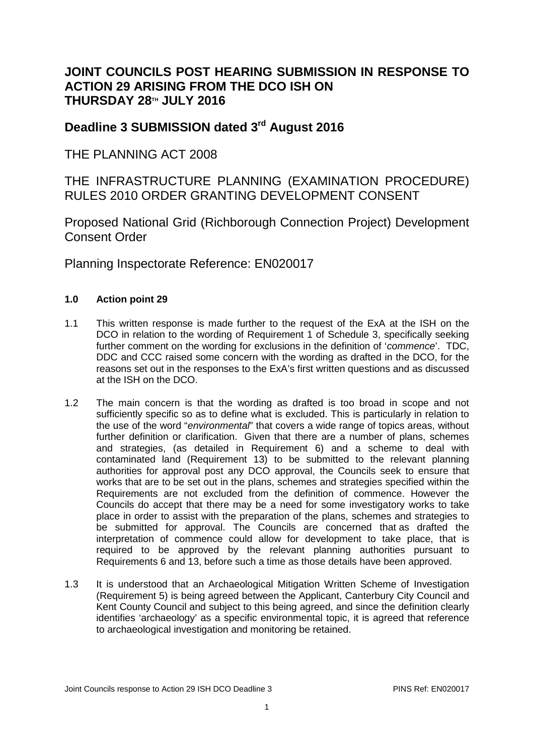## **JOINT COUNCILS POST HEARING SUBMISSION IN RESPONSE TO ACTION 29 ARISING FROM THE DCO ISH ON THURSDAY 28TH JULY 2016**

## **Deadline 3 SUBMISSION dated 3rd August 2016**

THE PLANNING ACT 2008

THE INFRASTRUCTURE PLANNING (EXAMINATION PROCEDURE) RULES 2010 ORDER GRANTING DEVELOPMENT CONSENT

Proposed National Grid (Richborough Connection Project) Development Consent Order

Planning Inspectorate Reference: EN020017

## **1.0 Action point 29**

- 1.1 This written response is made further to the request of the ExA at the ISH on the DCO in relation to the wording of Requirement 1 of Schedule 3, specifically seeking further comment on the wording for exclusions in the definition of '*commence*'. TDC, DDC and CCC raised some concern with the wording as drafted in the DCO, for the reasons set out in the responses to the ExA's first written questions and as discussed at the ISH on the DCO.
- 1.2 The main concern is that the wording as drafted is too broad in scope and not sufficiently specific so as to define what is excluded. This is particularly in relation to the use of the word "*environmental*" that covers a wide range of topics areas, without further definition or clarification. Given that there are a number of plans, schemes and strategies, (as detailed in Requirement 6) and a scheme to deal with contaminated land (Requirement 13) to be submitted to the relevant planning authorities for approval post any DCO approval, the Councils seek to ensure that works that are to be set out in the plans, schemes and strategies specified within the Requirements are not excluded from the definition of commence. However the Councils do accept that there may be a need for some investigatory works to take place in order to assist with the preparation of the plans, schemes and strategies to be submitted for approval. The Councils are concerned that as drafted the interpretation of commence could allow for development to take place, that is required to be approved by the relevant planning authorities pursuant to Requirements 6 and 13, before such a time as those details have been approved.
- 1.3 It is understood that an Archaeological Mitigation Written Scheme of Investigation (Requirement 5) is being agreed between the Applicant, Canterbury City Council and Kent County Council and subject to this being agreed, and since the definition clearly identifies 'archaeology' as a specific environmental topic, it is agreed that reference to archaeological investigation and monitoring be retained.